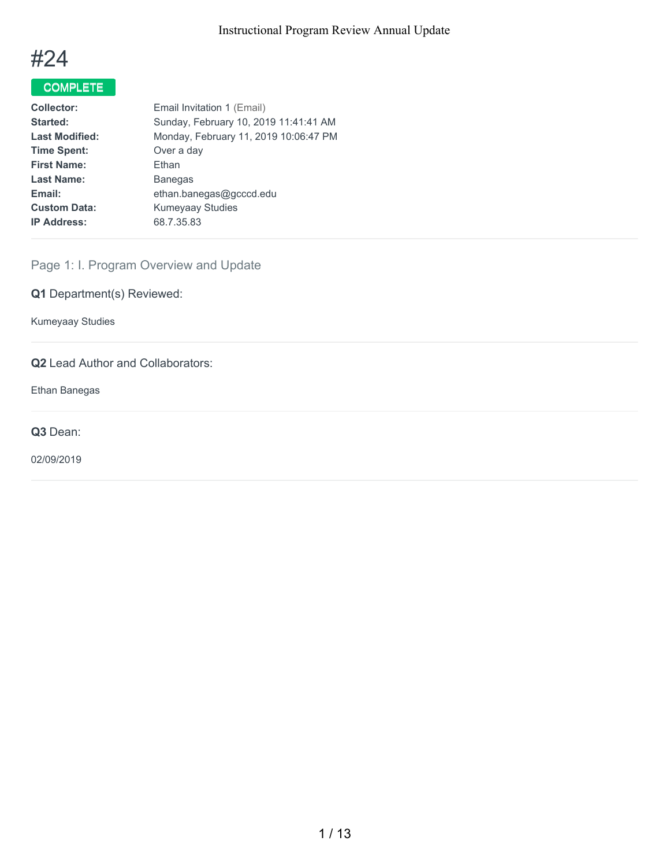

## COMPLETE

| <b>Collector:</b>     | Email Invitation 1 (Email)            |
|-----------------------|---------------------------------------|
| Started:              | Sunday, February 10, 2019 11:41:41 AM |
| <b>Last Modified:</b> | Monday, February 11, 2019 10:06:47 PM |
| <b>Time Spent:</b>    | Over a day                            |
| <b>First Name:</b>    | Ethan                                 |
| <b>Last Name:</b>     | <b>Banegas</b>                        |
| Email:                | ethan.banegas@gcccd.edu               |
| <b>Custom Data:</b>   | <b>Kumeyaay Studies</b>               |
| <b>IP Address:</b>    | 68.7.35.83                            |
|                       |                                       |

## Page 1: I. Program Overview and Update

**Q1** Department(s) Reviewed:

Kumeyaay Studies

## **Q2** Lead Author and Collaborators:

Ethan Banegas

**Q3** Dean:

02/09/2019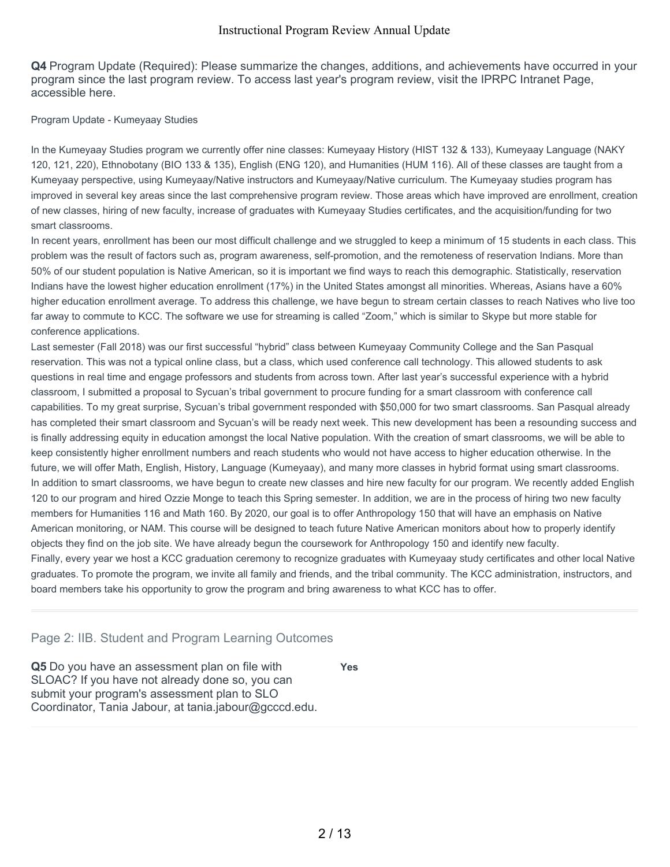**Q4** Program Update (Required): Please summarize the changes, additions, and achievements have occurred in your program since the last program review. To access last year's program review, visit the IPRPC Intranet Page, accessible here.

#### Program Update - Kumeyaay Studies

In the Kumeyaay Studies program we currently offer nine classes: Kumeyaay History (HIST 132 & 133), Kumeyaay Language (NAKY 120, 121, 220), Ethnobotany (BIO 133 & 135), English (ENG 120), and Humanities (HUM 116). All of these classes are taught from a Kumeyaay perspective, using Kumeyaay/Native instructors and Kumeyaay/Native curriculum. The Kumeyaay studies program has improved in several key areas since the last comprehensive program review. Those areas which have improved are enrollment, creation of new classes, hiring of new faculty, increase of graduates with Kumeyaay Studies certificates, and the acquisition/funding for two smart classrooms.

In recent years, enrollment has been our most difficult challenge and we struggled to keep a minimum of 15 students in each class. This problem was the result of factors such as, program awareness, self-promotion, and the remoteness of reservation Indians. More than 50% of our student population is Native American, so it is important we find ways to reach this demographic. Statistically, reservation Indians have the lowest higher education enrollment (17%) in the United States amongst all minorities. Whereas, Asians have a 60% higher education enrollment average. To address this challenge, we have begun to stream certain classes to reach Natives who live too far away to commute to KCC. The software we use for streaming is called "Zoom," which is similar to Skype but more stable for conference applications.

Last semester (Fall 2018) was our first successful "hybrid" class between Kumeyaay Community College and the San Pasqual reservation. This was not a typical online class, but a class, which used conference call technology. This allowed students to ask questions in real time and engage professors and students from across town. After last year's successful experience with a hybrid classroom, I submitted a proposal to Sycuan's tribal government to procure funding for a smart classroom with conference call capabilities. To my great surprise, Sycuan's tribal government responded with \$50,000 for two smart classrooms. San Pasqual already has completed their smart classroom and Sycuan's will be ready next week. This new development has been a resounding success and is finally addressing equity in education amongst the local Native population. With the creation of smart classrooms, we will be able to keep consistently higher enrollment numbers and reach students who would not have access to higher education otherwise. In the future, we will offer Math, English, History, Language (Kumeyaay), and many more classes in hybrid format using smart classrooms. In addition to smart classrooms, we have begun to create new classes and hire new faculty for our program. We recently added English 120 to our program and hired Ozzie Monge to teach this Spring semester. In addition, we are in the process of hiring two new faculty members for Humanities 116 and Math 160. By 2020, our goal is to offer Anthropology 150 that will have an emphasis on Native American monitoring, or NAM. This course will be designed to teach future Native American monitors about how to properly identify objects they find on the job site. We have already begun the coursework for Anthropology 150 and identify new faculty. Finally, every year we host a KCC graduation ceremony to recognize graduates with Kumeyaay study certificates and other local Native graduates. To promote the program, we invite all family and friends, and the tribal community. The KCC administration, instructors, and board members take his opportunity to grow the program and bring awareness to what KCC has to offer.

## Page 2: IIB. Student and Program Learning Outcomes

**Q5** Do you have an assessment plan on file with SLOAC? If you have not already done so, you can submit your program's assessment plan to SLO Coordinator, Tania Jabour, at tania.jabour@gcccd.edu. **Yes**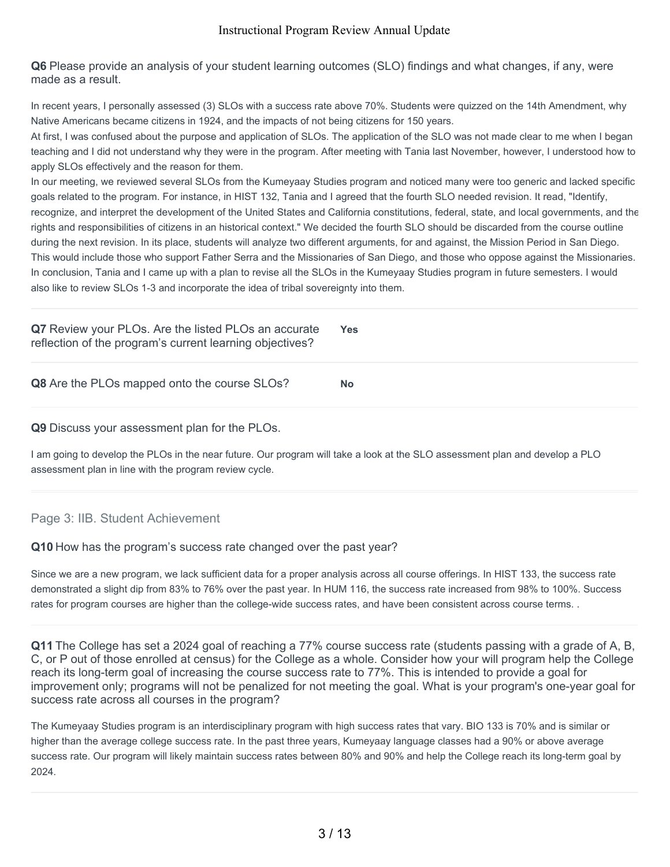**Q6** Please provide an analysis of your student learning outcomes (SLO) findings and what changes, if any, were made as a result.

In recent years, I personally assessed (3) SLOs with a success rate above 70%. Students were quizzed on the 14th Amendment, why Native Americans became citizens in 1924, and the impacts of not being citizens for 150 years.

At first, I was confused about the purpose and application of SLOs. The application of the SLO was not made clear to me when I began teaching and I did not understand why they were in the program. After meeting with Tania last November, however, I understood how to apply SLOs effectively and the reason for them.

In our meeting, we reviewed several SLOs from the Kumeyaay Studies program and noticed many were too generic and lacked specific goals related to the program. For instance, in HIST 132, Tania and I agreed that the fourth SLO needed revision. It read, "Identify, recognize, and interpret the development of the United States and California constitutions, federal, state, and local governments, and the rights and responsibilities of citizens in an historical context." We decided the fourth SLO should be discarded from the course outline during the next revision. In its place, students will analyze two different arguments, for and against, the Mission Period in San Diego. This would include those who support Father Serra and the Missionaries of San Diego, and those who oppose against the Missionaries. In conclusion, Tania and I came up with a plan to revise all the SLOs in the Kumeyaay Studies program in future semesters. I would also like to review SLOs 1-3 and incorporate the idea of tribal sovereignty into them.

| Q7 Review your PLOs. Are the listed PLOs an accurate<br>reflection of the program's current learning objectives? | <b>Yes</b> |
|------------------------------------------------------------------------------------------------------------------|------------|
| <b>Q8</b> Are the PLOs mapped onto the course SLOs?                                                              | <b>No</b>  |

**Q9** Discuss your assessment plan for the PLOs.

I am going to develop the PLOs in the near future. Our program will take a look at the SLO assessment plan and develop a PLO assessment plan in line with the program review cycle.

## Page 3: IIB. Student Achievement

## **Q10** How has the program's success rate changed over the past year?

Since we are a new program, we lack sufficient data for a proper analysis across all course offerings. In HIST 133, the success rate demonstrated a slight dip from 83% to 76% over the past year. In HUM 116, the success rate increased from 98% to 100%. Success rates for program courses are higher than the college-wide success rates, and have been consistent across course terms. .

**Q11** The College has set a 2024 goal of reaching a 77% course success rate (students passing with a grade of A, B, C, or P out of those enrolled at census) for the College as a whole. Consider how your will program help the College reach its long-term goal of increasing the course success rate to 77%. This is intended to provide a goal for improvement only; programs will not be penalized for not meeting the goal. What is your program's one-year goal for success rate across all courses in the program?

The Kumeyaay Studies program is an interdisciplinary program with high success rates that vary. BIO 133 is 70% and is similar or higher than the average college success rate. In the past three years, Kumeyaay language classes had a 90% or above average success rate. Our program will likely maintain success rates between 80% and 90% and help the College reach its long-term goal by 2024.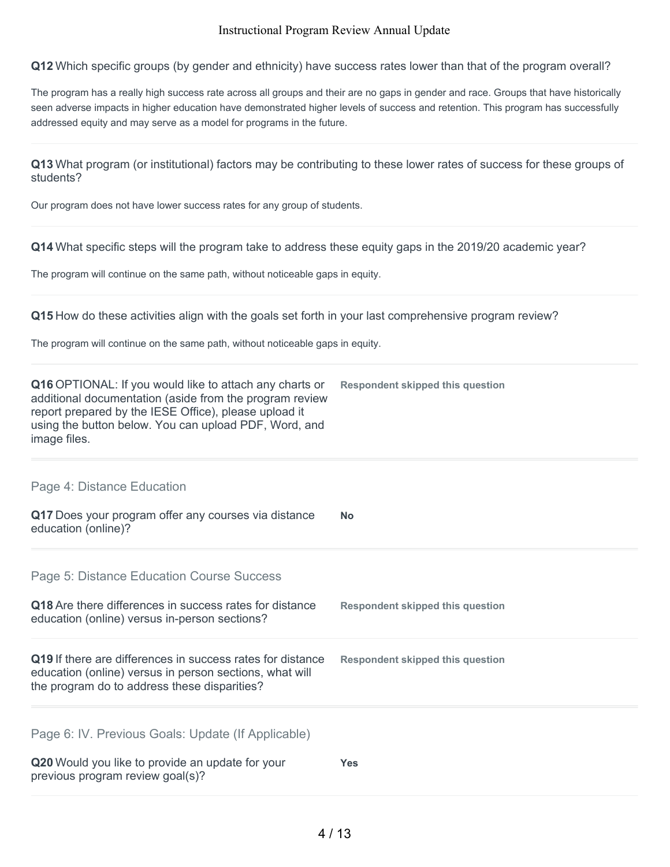**Q12** Which specific groups (by gender and ethnicity) have success rates lower than that of the program overall?

The program has a really high success rate across all groups and their are no gaps in gender and race. Groups that have historically seen adverse impacts in higher education have demonstrated higher levels of success and retention. This program has successfully addressed equity and may serve as a model for programs in the future.

**Q13** What program (or institutional) factors may be contributing to these lower rates of success for these groups of students?

Our program does not have lower success rates for any group of students.

**Q14** What specific steps will the program take to address these equity gaps in the 2019/20 academic year?

The program will continue on the same path, without noticeable gaps in equity.

**Q15** How do these activities align with the goals set forth in your last comprehensive program review?

The program will continue on the same path, without noticeable gaps in equity.

| Q16 OPTIONAL: If you would like to attach any charts or<br>additional documentation (aside from the program review<br>report prepared by the IESE Office), please upload it<br>using the button below. You can upload PDF, Word, and<br>image files. | <b>Respondent skipped this question</b> |
|------------------------------------------------------------------------------------------------------------------------------------------------------------------------------------------------------------------------------------------------------|-----------------------------------------|
| Page 4: Distance Education<br>Q17 Does your program offer any courses via distance<br>education (online)?                                                                                                                                            | <b>No</b>                               |
| Page 5: Distance Education Course Success<br>Q18 Are there differences in success rates for distance<br>education (online) versus in-person sections?                                                                                                | Respondent skipped this question        |
| Q19 If there are differences in success rates for distance<br>education (online) versus in person sections, what will<br>the program do to address these disparities?                                                                                | <b>Respondent skipped this question</b> |
| Page 6: IV. Previous Goals: Update (If Applicable)<br>Q20 Would you like to provide an update for your<br>previous program review goal(s)?                                                                                                           | <b>Yes</b>                              |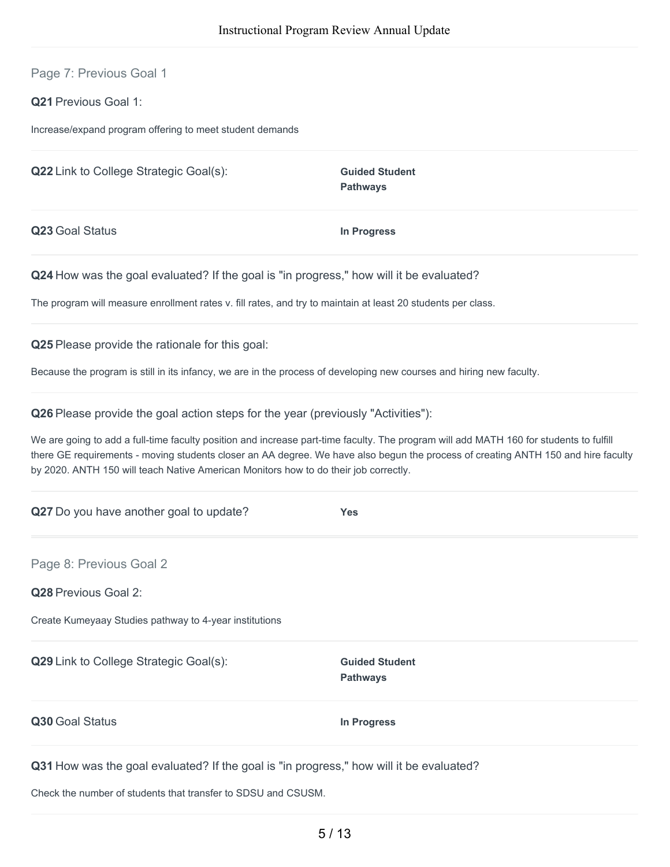Page 7: Previous Goal 1

**Q21** Previous Goal 1:

Increase/expand program offering to meet student demands

**Q22** Link to College Strategic Goal(s): **Guided Student** 

**Pathways**

**Q23** Goal Status **In Progress**

**Q24** How was the goal evaluated? If the goal is "in progress," how will it be evaluated?

The program will measure enrollment rates v. fill rates, and try to maintain at least 20 students per class.

**Q25** Please provide the rationale for this goal:

Because the program is still in its infancy, we are in the process of developing new courses and hiring new faculty.

**Q26** Please provide the goal action steps for the year (previously "Activities"):

We are going to add a full-time faculty position and increase part-time faculty. The program will add MATH 160 for students to fulfill there GE requirements - moving students closer an AA degree. We have also begun the process of creating ANTH 150 and hire faculty by 2020. ANTH 150 will teach Native American Monitors how to do their job correctly.

| Q27 Do you have another goal to update?                                                 | <b>Yes</b>                               |
|-----------------------------------------------------------------------------------------|------------------------------------------|
| Page 8: Previous Goal 2                                                                 |                                          |
| Q28 Previous Goal 2:                                                                    |                                          |
| Create Kumeyaay Studies pathway to 4-year institutions                                  |                                          |
| Q29 Link to College Strategic Goal(s):                                                  | <b>Guided Student</b><br><b>Pathways</b> |
| Q30 Goal Status                                                                         | In Progress                              |
| Q31 How was the goal evaluated? If the goal is "in progress," how will it be evaluated? |                                          |

Check the number of students that transfer to SDSU and CSUSM.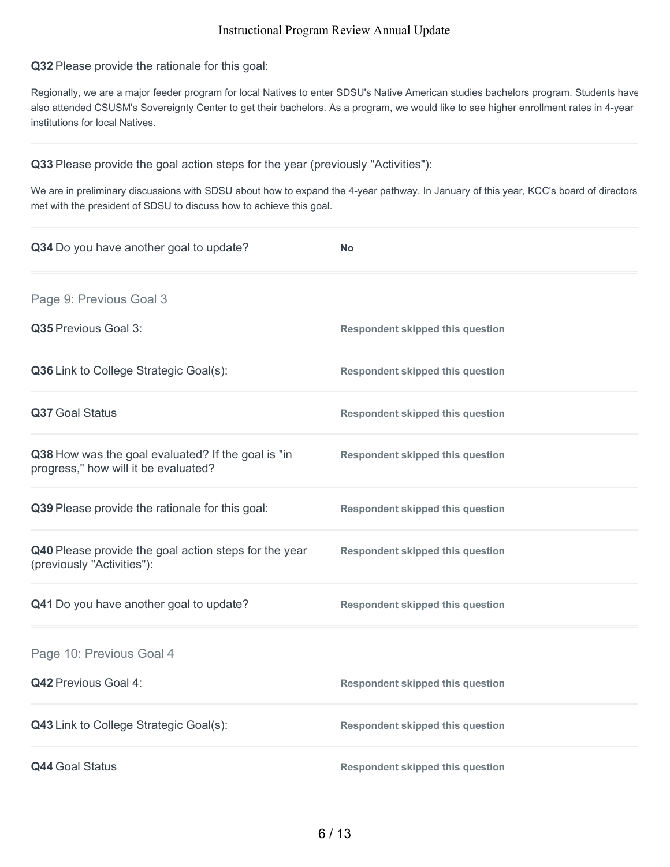**Q32** Please provide the rationale for this goal:

Regionally, we are a major feeder program for local Natives to enter SDSU's Native American studies bachelors program. Students have also attended CSUSM's Sovereignty Center to get their bachelors. As a program, we would like to see higher enrollment rates in 4-year institutions for local Natives.

**Q33** Please provide the goal action steps for the year (previously "Activities"):

We are in preliminary discussions with SDSU about how to expand the 4-year pathway. In January of this year, KCC's board of directors met with the president of SDSU to discuss how to achieve this goal.

| Q34 Do you have another goal to update?                                                    | <b>No</b>                               |
|--------------------------------------------------------------------------------------------|-----------------------------------------|
| Page 9: Previous Goal 3                                                                    |                                         |
| Q35 Previous Goal 3:                                                                       | <b>Respondent skipped this question</b> |
| Q36 Link to College Strategic Goal(s):                                                     | <b>Respondent skipped this question</b> |
| Q37 Goal Status                                                                            | <b>Respondent skipped this question</b> |
| Q38 How was the goal evaluated? If the goal is "in<br>progress," how will it be evaluated? | <b>Respondent skipped this question</b> |
| Q39 Please provide the rationale for this goal:                                            | <b>Respondent skipped this question</b> |
| Q40 Please provide the goal action steps for the year<br>(previously "Activities"):        | <b>Respondent skipped this question</b> |
| Q41 Do you have another goal to update?                                                    | <b>Respondent skipped this question</b> |
| Page 10: Previous Goal 4                                                                   |                                         |
| Q42 Previous Goal 4:                                                                       | <b>Respondent skipped this question</b> |
| <b>Q43</b> Link to College Strategic Goal(s):                                              | <b>Respondent skipped this question</b> |
| <b>Q44 Goal Status</b>                                                                     | <b>Respondent skipped this question</b> |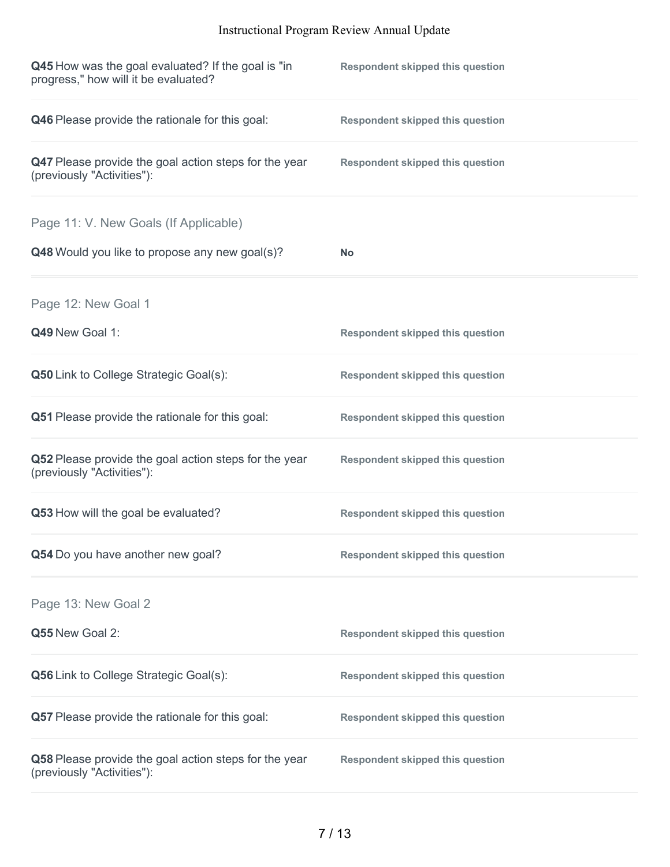| Q45 How was the goal evaluated? If the goal is "in<br>progress," how will it be evaluated? | <b>Respondent skipped this question</b> |
|--------------------------------------------------------------------------------------------|-----------------------------------------|
| Q46 Please provide the rationale for this goal:                                            | <b>Respondent skipped this question</b> |
| Q47 Please provide the goal action steps for the year<br>(previously "Activities"):        | <b>Respondent skipped this question</b> |
| Page 11: V. New Goals (If Applicable)                                                      |                                         |
| Q48 Would you like to propose any new goal(s)?                                             | <b>No</b>                               |
| Page 12: New Goal 1                                                                        |                                         |
| Q49 New Goal 1:                                                                            | <b>Respondent skipped this question</b> |
| <b>Q50</b> Link to College Strategic Goal(s):                                              | <b>Respondent skipped this question</b> |
| Q51 Please provide the rationale for this goal:                                            | <b>Respondent skipped this question</b> |
| Q52 Please provide the goal action steps for the year<br>(previously "Activities"):        | <b>Respondent skipped this question</b> |
| Q53 How will the goal be evaluated?                                                        | <b>Respondent skipped this question</b> |
| Q54 Do you have another new goal?                                                          | <b>Respondent skipped this question</b> |
| Page 13: New Goal 2                                                                        |                                         |
| Q55 New Goal 2:                                                                            | <b>Respondent skipped this question</b> |
| <b>Q56</b> Link to College Strategic Goal(s):                                              | <b>Respondent skipped this question</b> |
| Q57 Please provide the rationale for this goal:                                            | <b>Respondent skipped this question</b> |
| Q58 Please provide the goal action steps for the year<br>(previously "Activities"):        | <b>Respondent skipped this question</b> |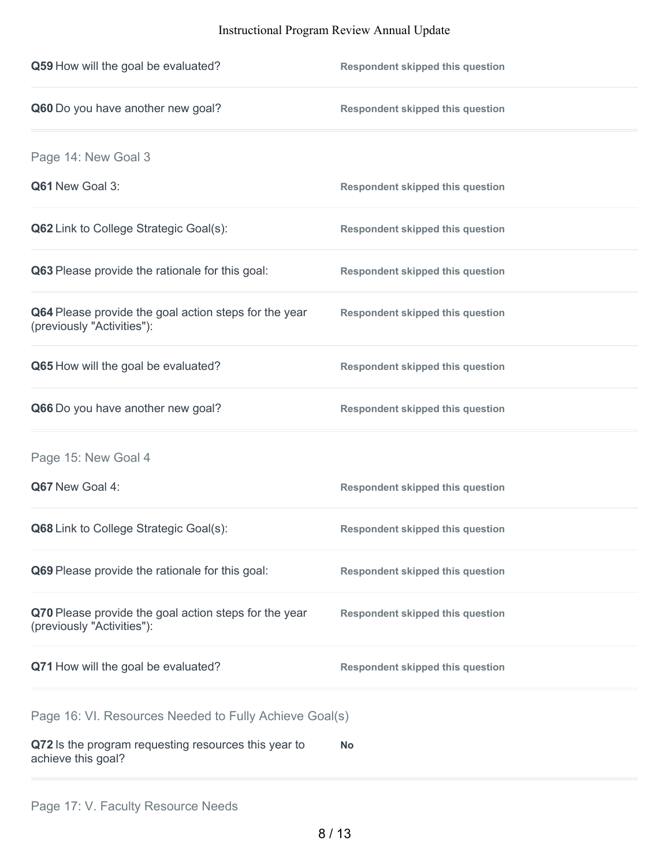| Q59 How will the goal be evaluated?                                                 | <b>Respondent skipped this question</b> |
|-------------------------------------------------------------------------------------|-----------------------------------------|
| Q60 Do you have another new goal?                                                   | <b>Respondent skipped this question</b> |
| Page 14: New Goal 3                                                                 |                                         |
| Q61 New Goal 3:                                                                     | <b>Respondent skipped this question</b> |
| Q62 Link to College Strategic Goal(s):                                              | <b>Respondent skipped this question</b> |
| Q63 Please provide the rationale for this goal:                                     | <b>Respondent skipped this question</b> |
| Q64 Please provide the goal action steps for the year<br>(previously "Activities"): | <b>Respondent skipped this question</b> |
| Q65 How will the goal be evaluated?                                                 | <b>Respondent skipped this question</b> |
| Q66 Do you have another new goal?                                                   | <b>Respondent skipped this question</b> |
| Page 15: New Goal 4                                                                 |                                         |
| Q67 New Goal 4:                                                                     | <b>Respondent skipped this question</b> |
| Q68 Link to College Strategic Goal(s):                                              | <b>Respondent skipped this question</b> |
| Q69 Please provide the rationale for this goal:                                     | <b>Respondent skipped this question</b> |
| Q70 Please provide the goal action steps for the year<br>(previously "Activities"): | <b>Respondent skipped this question</b> |
| Q71 How will the goal be evaluated?                                                 | <b>Respondent skipped this question</b> |
| Page 16: VI. Resources Needed to Fully Achieve Goal(s)                              |                                         |
| Q72 Is the program requesting resources this year to<br>achieve this goal?          | <b>No</b>                               |
|                                                                                     |                                         |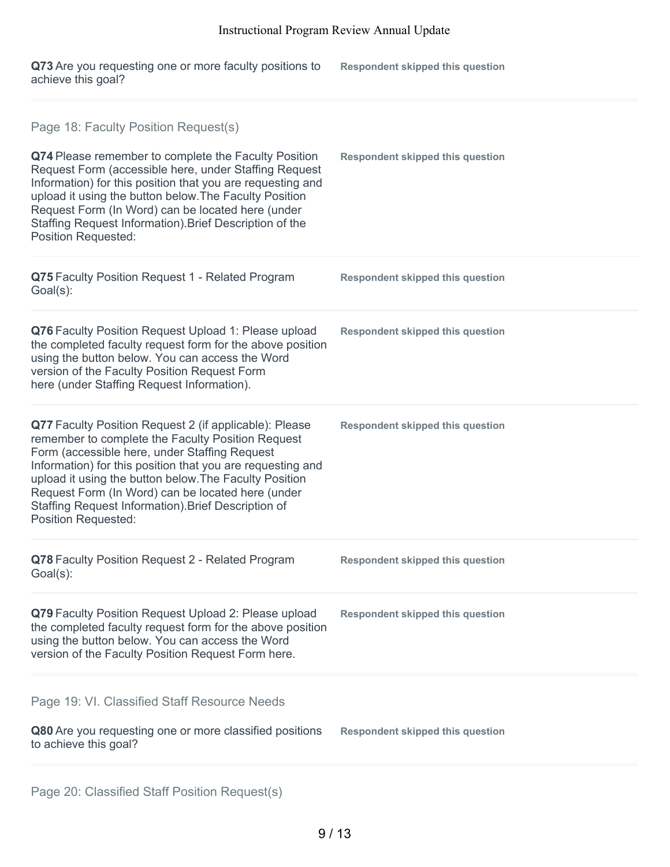| Q73 Are you requesting one or more faculty positions to | <b>Respondent skipped this question</b> |
|---------------------------------------------------------|-----------------------------------------|
| achieve this goal?                                      |                                         |

| Page 18: Faculty Position Request(s)                                                                                                                                                                                                                                                                                                                                                                                           |                                         |
|--------------------------------------------------------------------------------------------------------------------------------------------------------------------------------------------------------------------------------------------------------------------------------------------------------------------------------------------------------------------------------------------------------------------------------|-----------------------------------------|
| Q74 Please remember to complete the Faculty Position<br>Request Form (accessible here, under Staffing Request<br>Information) for this position that you are requesting and<br>upload it using the button below. The Faculty Position<br>Request Form (In Word) can be located here (under<br>Staffing Request Information). Brief Description of the<br><b>Position Requested:</b>                                            | <b>Respondent skipped this question</b> |
| Q75 Faculty Position Request 1 - Related Program<br>Goal(s):                                                                                                                                                                                                                                                                                                                                                                   | <b>Respondent skipped this question</b> |
| Q76 Faculty Position Request Upload 1: Please upload<br>the completed faculty request form for the above position<br>using the button below. You can access the Word<br>version of the Faculty Position Request Form<br>here (under Staffing Request Information).                                                                                                                                                             | <b>Respondent skipped this question</b> |
| Q77 Faculty Position Request 2 (if applicable): Please<br>remember to complete the Faculty Position Request<br>Form (accessible here, under Staffing Request<br>Information) for this position that you are requesting and<br>upload it using the button below. The Faculty Position<br>Request Form (In Word) can be located here (under<br>Staffing Request Information). Brief Description of<br><b>Position Requested:</b> | <b>Respondent skipped this question</b> |
| Q78 Faculty Position Request 2 - Related Program<br>Goal(s):                                                                                                                                                                                                                                                                                                                                                                   | <b>Respondent skipped this question</b> |
| Q79 Faculty Position Request Upload 2: Please upload<br>the completed faculty request form for the above position<br>using the button below. You can access the Word<br>version of the Faculty Position Request Form here.                                                                                                                                                                                                     | <b>Respondent skipped this question</b> |
| Page 19: VI. Classified Staff Resource Needs                                                                                                                                                                                                                                                                                                                                                                                   |                                         |
| Q80 Are you requesting one or more classified positions<br>to achieve this goal?                                                                                                                                                                                                                                                                                                                                               | <b>Respondent skipped this question</b> |
|                                                                                                                                                                                                                                                                                                                                                                                                                                |                                         |

Page 20: Classified Staff Position Request(s)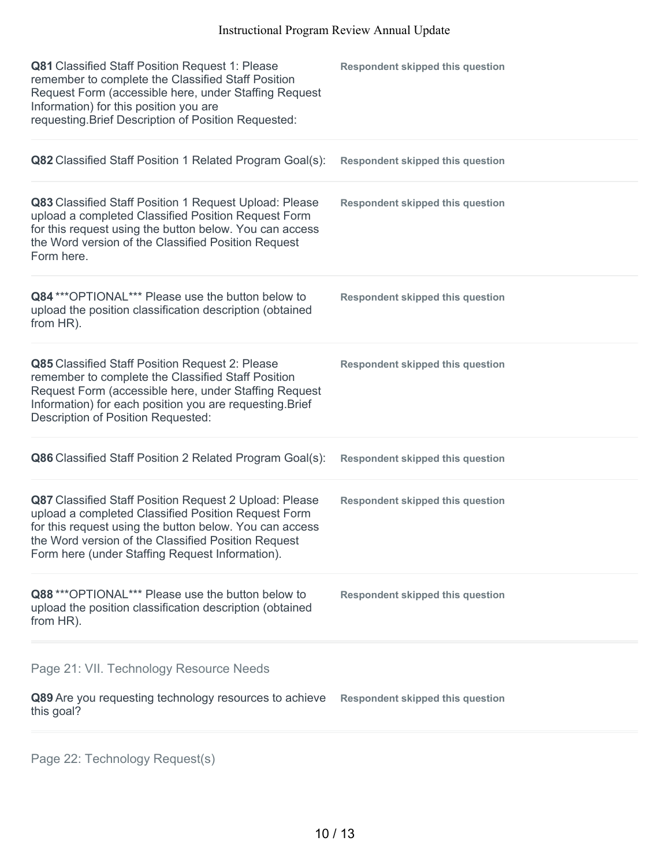| Q81 Classified Staff Position Request 1: Please<br>remember to complete the Classified Staff Position<br>Request Form (accessible here, under Staffing Request<br>Information) for this position you are<br>requesting. Brief Description of Position Requested:                   | <b>Respondent skipped this question</b> |
|------------------------------------------------------------------------------------------------------------------------------------------------------------------------------------------------------------------------------------------------------------------------------------|-----------------------------------------|
| Q82 Classified Staff Position 1 Related Program Goal(s):                                                                                                                                                                                                                           | <b>Respondent skipped this question</b> |
| Q83 Classified Staff Position 1 Request Upload: Please<br>upload a completed Classified Position Request Form<br>for this request using the button below. You can access<br>the Word version of the Classified Position Request<br>Form here.                                      | <b>Respondent skipped this question</b> |
| Q84 *** OPTIONAL*** Please use the button below to<br>upload the position classification description (obtained<br>from HR).                                                                                                                                                        | <b>Respondent skipped this question</b> |
| Q85 Classified Staff Position Request 2: Please<br>remember to complete the Classified Staff Position<br>Request Form (accessible here, under Staffing Request<br>Information) for each position you are requesting. Brief<br>Description of Position Requested:                   | <b>Respondent skipped this question</b> |
| Q86 Classified Staff Position 2 Related Program Goal(s):                                                                                                                                                                                                                           | <b>Respondent skipped this question</b> |
| Q87 Classified Staff Position Request 2 Upload: Please<br>upload a completed Classified Position Request Form<br>for this request using the button below. You can access<br>the Word version of the Classified Position Request<br>Form here (under Staffing Request Information). | <b>Respondent skipped this question</b> |
| Q88 *** OPTIONAL*** Please use the button below to<br>upload the position classification description (obtained<br>from HR).                                                                                                                                                        | <b>Respondent skipped this question</b> |
| Page 21: VII. Technology Resource Needs                                                                                                                                                                                                                                            |                                         |
| Q89 Are you requesting technology resources to achieve<br>this goal?                                                                                                                                                                                                               | <b>Respondent skipped this question</b> |
|                                                                                                                                                                                                                                                                                    |                                         |

Page 22: Technology Request(s)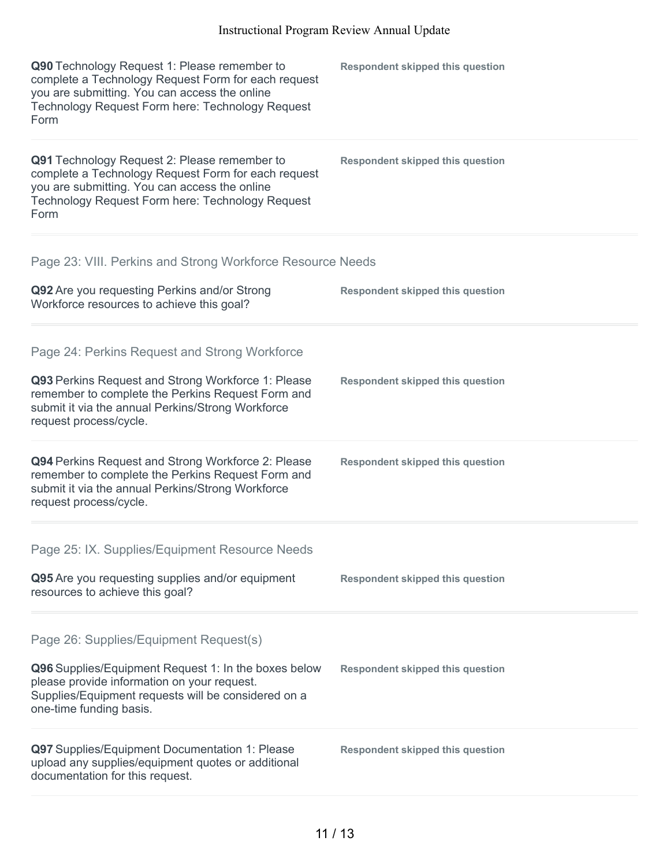| Q90 Technology Request 1: Please remember to<br>complete a Technology Request Form for each request<br>you are submitting. You can access the online<br>Technology Request Form here: Technology Request<br>Form | <b>Respondent skipped this question</b> |
|------------------------------------------------------------------------------------------------------------------------------------------------------------------------------------------------------------------|-----------------------------------------|
| Q91 Technology Request 2: Please remember to<br>complete a Technology Request Form for each request<br>you are submitting. You can access the online<br>Technology Request Form here: Technology Request<br>Form | <b>Respondent skipped this question</b> |
| Page 23: VIII. Perkins and Strong Workforce Resource Needs                                                                                                                                                       |                                         |
| Q92 Are you requesting Perkins and/or Strong<br>Workforce resources to achieve this goal?                                                                                                                        | <b>Respondent skipped this question</b> |
| Page 24: Perkins Request and Strong Workforce                                                                                                                                                                    |                                         |
| Q93 Perkins Request and Strong Workforce 1: Please<br>remember to complete the Perkins Request Form and<br>submit it via the annual Perkins/Strong Workforce<br>request process/cycle.                           | <b>Respondent skipped this question</b> |
| Q94 Perkins Request and Strong Workforce 2: Please<br>remember to complete the Perkins Request Form and<br>submit it via the annual Perkins/Strong Workforce<br>request process/cycle.                           | <b>Respondent skipped this question</b> |
| Page 25: IX. Supplies/Equipment Resource Needs                                                                                                                                                                   |                                         |
| Q95 Are you requesting supplies and/or equipment<br>resources to achieve this goal?                                                                                                                              | <b>Respondent skipped this question</b> |
| Page 26: Supplies/Equipment Request(s)                                                                                                                                                                           |                                         |
| Q96 Supplies/Equipment Request 1: In the boxes below<br>please provide information on your request.<br>Supplies/Equipment requests will be considered on a<br>one-time funding basis.                            | <b>Respondent skipped this question</b> |
| Q97 Supplies/Equipment Documentation 1: Please<br>upload any supplies/equipment quotes or additional<br>documentation for this request.                                                                          | <b>Respondent skipped this question</b> |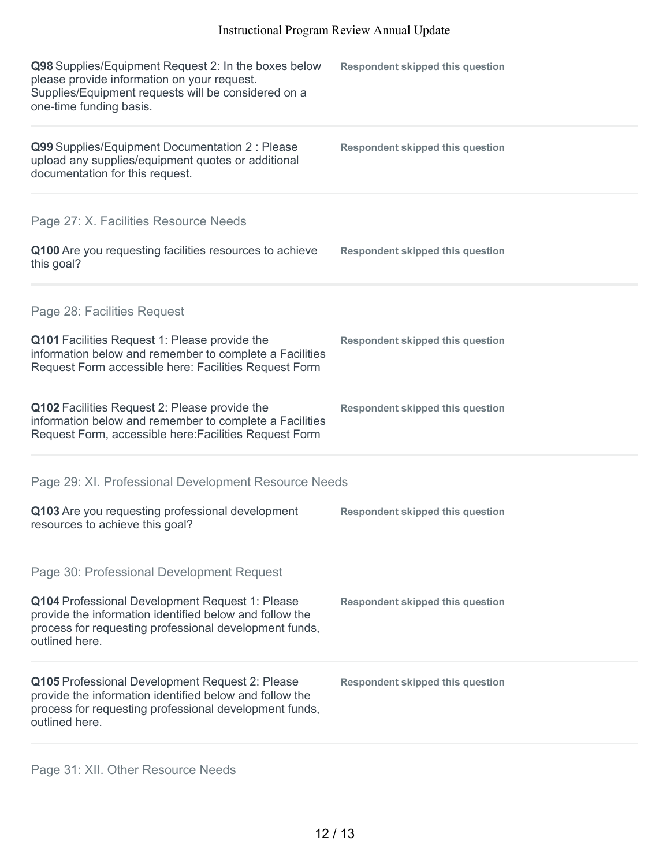| Q98 Supplies/Equipment Request 2: In the boxes below<br>please provide information on your request.<br>Supplies/Equipment requests will be considered on a<br>one-time funding basis.  | <b>Respondent skipped this question</b> |
|----------------------------------------------------------------------------------------------------------------------------------------------------------------------------------------|-----------------------------------------|
| Q99 Supplies/Equipment Documentation 2 : Please<br>upload any supplies/equipment quotes or additional<br>documentation for this request.                                               | <b>Respondent skipped this question</b> |
| Page 27: X. Facilities Resource Needs                                                                                                                                                  |                                         |
| Q100 Are you requesting facilities resources to achieve<br>this goal?                                                                                                                  | <b>Respondent skipped this question</b> |
| Page 28: Facilities Request                                                                                                                                                            |                                         |
| Q101 Facilities Request 1: Please provide the<br>information below and remember to complete a Facilities<br>Request Form accessible here: Facilities Request Form                      | <b>Respondent skipped this question</b> |
| Q102 Facilities Request 2: Please provide the<br>information below and remember to complete a Facilities<br>Request Form, accessible here: Facilities Request Form                     | <b>Respondent skipped this question</b> |
| Page 29: XI. Professional Development Resource Needs                                                                                                                                   |                                         |
| Q103 Are you requesting professional development<br>resources to achieve this goal?                                                                                                    | <b>Respondent skipped this question</b> |
| Page 30: Professional Development Request                                                                                                                                              |                                         |
| Q104 Professional Development Request 1: Please<br>provide the information identified below and follow the<br>process for requesting professional development funds,<br>outlined here. | <b>Respondent skipped this question</b> |
| Q105 Professional Development Request 2: Please<br>provide the information identified below and follow the<br>process for requesting professional development funds,<br>outlined here. | <b>Respondent skipped this question</b> |